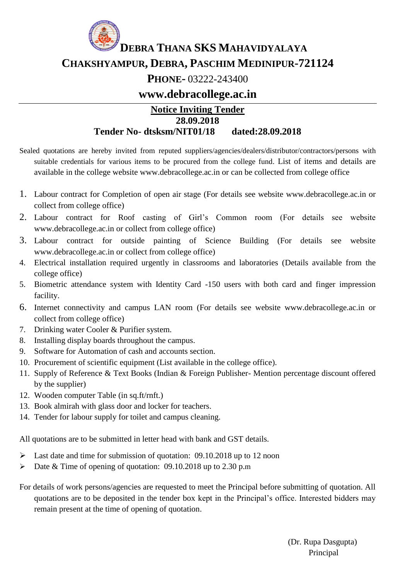

**CHAKSHYAMPUR, DEBRA, PASCHIM MEDINIPUR-721124**

## **PHONE-** 03222-243400

### **www.debracollege.ac.in**

#### **Notice Inviting Tender 28.09.2018 Tender No- dtsksm/NIT01/18 dated:28.09.2018**

- Sealed quotations are hereby invited from reputed suppliers/agencies/dealers/distributor/contractors/persons with suitable credentials for various items to be procured from the college fund. List of items and details are available in the college website www.debracollege.ac.in or can be collected from college office
- 1. Labour contract for Completion of open air stage (For details see website www.debracollege.ac.in or collect from college office)
- 2. Labour contract for Roof casting of Girl's Common room (For details see website www.debracollege.ac.in or collect from college office)
- 3. Labour contract for outside painting of Science Building (For details see website www.debracollege.ac.in or collect from college office)
- 4. Electrical installation required urgently in classrooms and laboratories (Details available from the college office)
- 5. Biometric attendance system with Identity Card -150 users with both card and finger impression facility.
- 6. Internet connectivity and campus LAN room (For details see website www.debracollege.ac.in or collect from college office)
- 7. Drinking water Cooler & Purifier system.
- 8. Installing display boards throughout the campus.
- 9. Software for Automation of cash and accounts section.
- 10. Procurement of scientific equipment (List available in the college office).
- 11. Supply of Reference & Text Books (Indian & Foreign Publisher- Mention percentage discount offered by the supplier)
- 12. Wooden computer Table (in sq.ft/rnft.)
- 13. Book almirah with glass door and locker for teachers.
- 14. Tender for labour supply for toilet and campus cleaning.

All quotations are to be submitted in letter head with bank and GST details.

- $\blacktriangleright$  Last date and time for submission of quotation: 09.10.2018 up to 12 noon
- Date & Time of opening of quotation: 09.10.2018 up to 2.30 p.m

For details of work persons/agencies are requested to meet the Principal before submitting of quotation. All quotations are to be deposited in the tender box kept in the Principal's office. Interested bidders may remain present at the time of opening of quotation.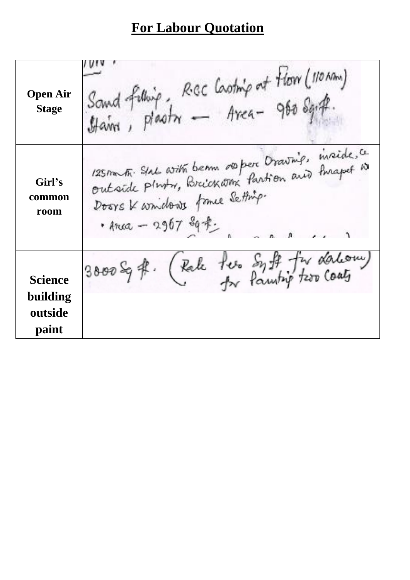# **For Labour Quotation**

| Open Air<br><b>Stage</b>                       | Sand felling, RGC Casting at Floor (110 Mm)<br>Haive, Plastre — Area - 960 Sg. ft.                                                                            |
|------------------------------------------------|---------------------------------------------------------------------------------------------------------------------------------------------------------------|
| Girl's<br>common<br>room                       | 125 m Fr. State with beam of per Drawing, inside, ce<br>outside pluty, Breickarn Partion and Imapel is<br>Doors K wridows frame Setting.<br>· Arca - 2967 匈米. |
| <b>Science</b><br>building<br>outside<br>paint | 3000 Sqft. (Pale fee Syft for dation)                                                                                                                         |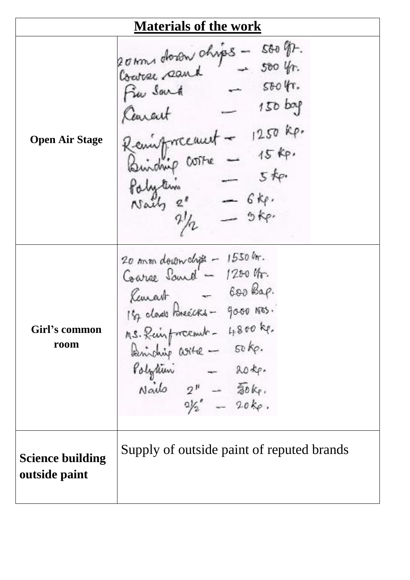| <b>Materials of the work</b>             |                                                                                                                                                                                                                                                                                                                                                                                                                                                              |  |
|------------------------------------------|--------------------------------------------------------------------------------------------------------------------------------------------------------------------------------------------------------------------------------------------------------------------------------------------------------------------------------------------------------------------------------------------------------------------------------------------------------------|--|
| Open Air Stage                           | 20 km dorow chips - 500 gp.<br>Coatre search - 500 yr.<br>$-$ stoff.<br>Fin Sout<br>$150$ bap<br>Carcut<br>Remisfracement - 1250 kp.<br>Buidnip costre - 15 kp.<br>$ 5ke$<br>Palytin<br>$\begin{array}{rcl}\n\text{Skylim} \\ \text{Nally} & \frac{e^s}{2!} & = & 6k & \\ \hline\n\end{array}$                                                                                                                                                               |  |
| Girl's common<br>room                    | 20 mm downchist - 1550 m.<br>Coarge Sand - 1200 kg.<br>Kemant - 600 Bap.<br>182 class Poneecks - good Nos.<br>$\begin{array}{rcl}\n\text{As.} & \text{Rein} & \text{if} & \text{if} & \text{if} & \text{if} & \text{if} & \text{if} & \text{if} \\ \text{Rainb in} & \text{if} & \text{if} & \text{if} & \text{if} & \text{if} & \text{if} \\ \text{Raylium} & & & & \text{if} & \text{if} & \text{if} \\ \text{Naido} & & 2" & & & \text{if} & \text{if} &$ |  |
| <b>Science building</b><br>outside paint | Supply of outside paint of reputed brands                                                                                                                                                                                                                                                                                                                                                                                                                    |  |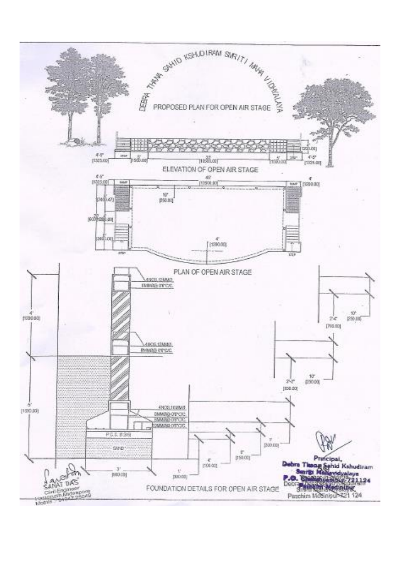